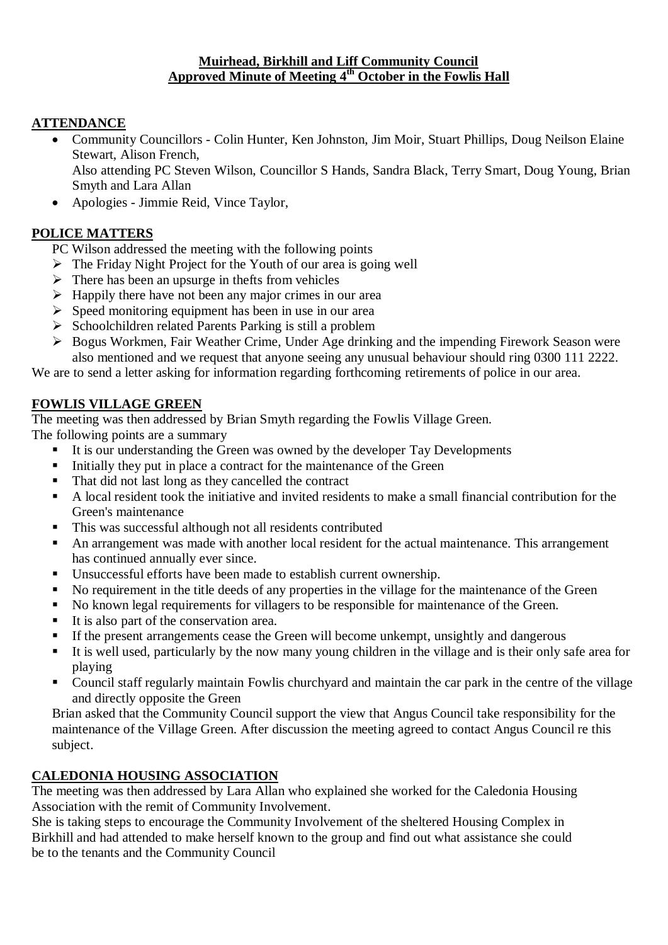#### **Muirhead, Birkhill and Liff Community Council Approved Minute of Meeting 4 th October in the Fowlis Hall**

# **ATTENDANCE**

- Community Councillors Colin Hunter, Ken Johnston, Jim Moir, Stuart Phillips, Doug Neilson Elaine Stewart, Alison French, Also attending PC Steven Wilson, Councillor S Hands, Sandra Black, Terry Smart, Doug Young, Brian Smyth and Lara Allan
- Apologies Jimmie Reid, Vince Taylor,

## **POLICE MATTERS**

- PC Wilson addressed the meeting with the following points
- $\triangleright$  The Friday Night Project for the Youth of our area is going well
- $\triangleright$  There has been an upsurge in thefts from vehicles
- $\triangleright$  Happily there have not been any major crimes in our area
- $\triangleright$  Speed monitoring equipment has been in use in our area
- $\triangleright$  Schoolchildren related Parents Parking is still a problem
- Bogus Workmen, Fair Weather Crime, Under Age drinking and the impending Firework Season were also mentioned and we request that anyone seeing any unusual behaviour should ring 0300 111 2222.

We are to send a letter asking for information regarding forthcoming retirements of police in our area.

## **FOWLIS VILLAGE GREEN**

The meeting was then addressed by Brian Smyth regarding the Fowlis Village Green.

The following points are a summary

- It is our understanding the Green was owned by the developer Tay Developments
- Initially they put in place a contract for the maintenance of the Green
- That did not last long as they cancelled the contract
- A local resident took the initiative and invited residents to make a small financial contribution for the Green's maintenance
- This was successful although not all residents contributed
- An arrangement was made with another local resident for the actual maintenance. This arrangement has continued annually ever since.
- Unsuccessful efforts have been made to establish current ownership.
- No requirement in the title deeds of any properties in the village for the maintenance of the Green
- No known legal requirements for villagers to be responsible for maintenance of the Green.
- $\blacksquare$  It is also part of the conservation area.
- If the present arrangements cease the Green will become unkempt, unsightly and dangerous
- It is well used, particularly by the now many young children in the village and is their only safe area for playing
- Council staff regularly maintain Fowlis churchyard and maintain the car park in the centre of the village and directly opposite the Green

Brian asked that the Community Council support the view that Angus Council take responsibility for the maintenance of the Village Green. After discussion the meeting agreed to contact Angus Council re this subject.

#### **CALEDONIA HOUSING ASSOCIATION**

The meeting was then addressed by Lara Allan who explained she worked for the Caledonia Housing Association with the remit of Community Involvement.

She is taking steps to encourage the Community Involvement of the sheltered Housing Complex in Birkhill and had attended to make herself known to the group and find out what assistance she could be to the tenants and the Community Council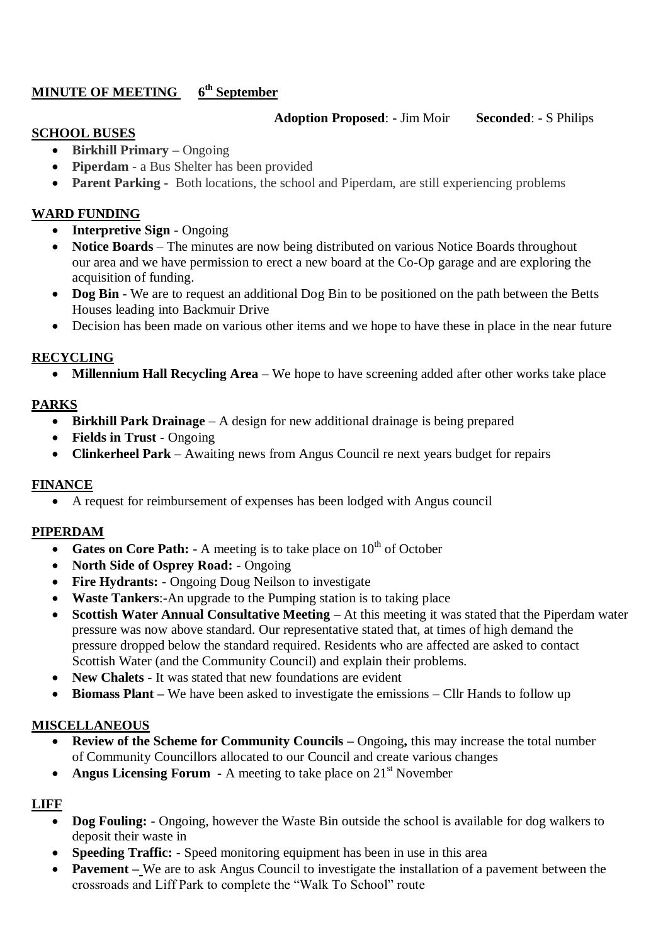#### **MINUTE OF MEETING 6 th September**

#### **Adoption Proposed**: - Jim Moir **Seconded**: - S Philips

#### **SCHOOL BUSES**

- **Birkhill Primary –** Ongoing
- **Piperdam** a Bus Shelter has been provided
- **Parent Parking -** Both locations, the school and Piperdam, are still experiencing problems

## **WARD FUNDING**

- **Interpretive Sign** Ongoing
- **Notice Boards** The minutes are now being distributed on various Notice Boards throughout our area and we have permission to erect a new board at the Co-Op garage and are exploring the acquisition of funding.
- Dog Bin We are to request an additional Dog Bin to be positioned on the path between the Betts Houses leading into Backmuir Drive
- Decision has been made on various other items and we hope to have these in place in the near future

## **RECYCLING**

• **Millennium Hall Recycling Area** – We hope to have screening added after other works take place

# **PARKS**

- **Birkhill Park Drainage** A design for new additional drainage is being prepared
- Fields in Trust Ongoing
- **Clinkerheel Park** Awaiting news from Angus Council re next years budget for repairs

#### **FINANCE**

A request for reimbursement of expenses has been lodged with Angus council

#### **PIPERDAM**

- **Gates on Core Path:** A meeting is to take place on  $10<sup>th</sup>$  of October
- **North Side of Osprey Road:** Ongoing
- **Fire Hydrants:**  Ongoing Doug Neilson to investigate
- **Waste Tankers**:-An upgrade to the Pumping station is to taking place
- **Scottish Water Annual Consultative Meeting –** At this meeting it was stated that the Piperdam water pressure was now above standard. Our representative stated that, at times of high demand the pressure dropped below the standard required. Residents who are affected are asked to contact Scottish Water (and the Community Council) and explain their problems.
- **New Chalets -** It was stated that new foundations are evident
- **Biomass Plant** We have been asked to investigate the emissions Cllr Hands to follow up

# **MISCELLANEOUS**

- **Review of the Scheme for Community Councils –** Ongoing**,** this may increase the total number of Community Councillors allocated to our Council and create various changes
- **Angus Licensing Forum** A meeting to take place on 21<sup>st</sup> November

# **LIFF**

- Dog Fouling: Ongoing, however the Waste Bin outside the school is available for dog walkers to deposit their waste in
- **Speeding Traffic:**  Speed monitoring equipment has been in use in this area
- **Pavement** We are to ask Angus Council to investigate the installation of a pavement between the crossroads and Liff Park to complete the "Walk To School" route